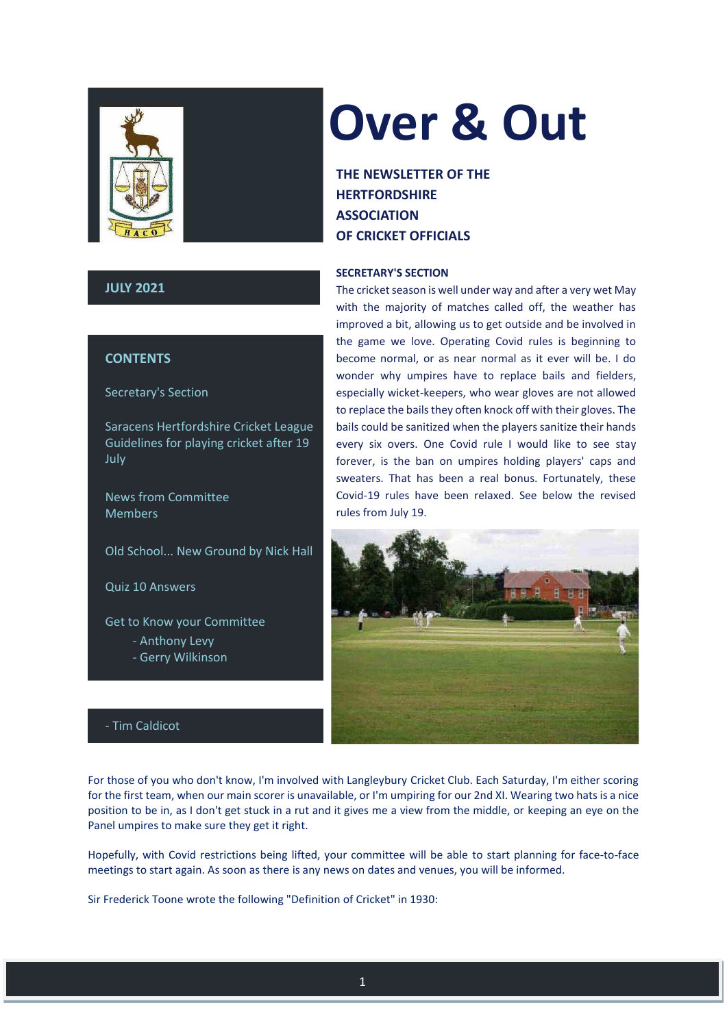

# **JULY 2021**

# **CONTENTS**

Secretary's Section

Saracens Hertfordshire Cricket League Guidelines for playing cricket after 19 July

News from Committee Members

Old School... New Ground by Nick Hall

Quiz 10 Answers

Get to Know your Committee

- Anthony Levy
- Gerry Wilkinson

# **Over & Out**

**THE NEWSLETTER OF THE HERTFORDSHIRE ASSOCIATION OF CRICKET OFFICIALS**

# **SECRETARY'S SECTION**

The cricket season is well under way and after a very wet May with the majority of matches called off, the weather has improved a bit, allowing us to get outside and be involved in the game we love. Operating Covid rules is beginning to become normal, or as near normal as it ever will be. I do wonder why umpires have to replace bails and fielders, especially wicket-keepers, who wear gloves are not allowed to replace the bails they often knock off with their gloves. The bails could be sanitized when the players sanitize their hands every six overs. One Covid rule I would like to see stay forever, is the ban on umpires holding players' caps and sweaters. That has been a real bonus. Fortunately, these Covid-19 rules have been relaxed. See below the revised rules from July 19.



# - Tim Caldicot

For those of you who don't know, I'm involved with Langleybury Cricket Club. Each Saturday, I'm either scoring for the first team, when our main scorer is unavailable, or I'm umpiring for our 2nd XI. Wearing two hats is a nice position to be in, as I don't get stuck in a rut and it gives me a view from the middle, or keeping an eye on the Panel umpires to make sure they get it right.

Hopefully, with Covid restrictions being lifted, your committee will be able to start planning for face-to-face meetings to start again. As soon as there is any news on dates and venues, you will be informed.

Sir Frederick Toone wrote the following "Definition of Cricket" in 1930: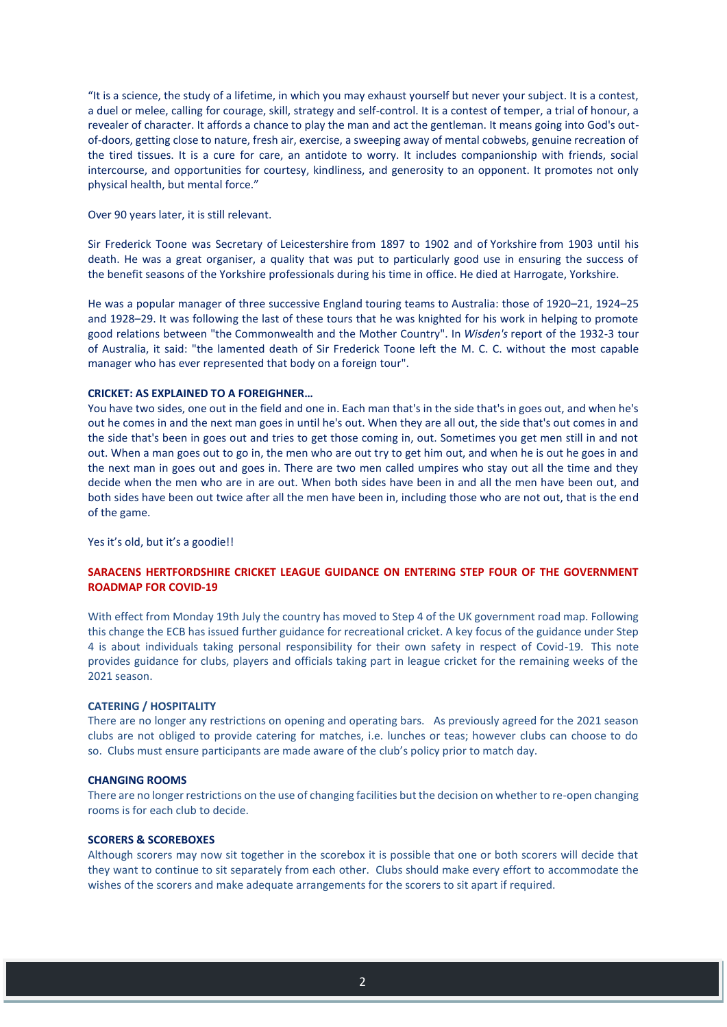"It is a science, the study of a lifetime, in which you may exhaust yourself but never your subject. It is a contest, a duel or melee, calling for courage, skill, strategy and self-control. It is a contest of temper, a trial of honour, a revealer of character. It affords a chance to play the man and act the gentleman. It means going into God's outof-doors, getting close to nature, fresh air, exercise, a sweeping away of mental cobwebs, genuine recreation of the tired tissues. It is a cure for care, an antidote to worry. It includes companionship with friends, social intercourse, and opportunities for courtesy, kindliness, and generosity to an opponent. It promotes not only physical health, but mental force."

Over 90 years later, it is still relevant.

Sir Frederick Toone was Secretary of [Leicestershire](https://en.wikipedia.org/wiki/Leicestershire_County_Cricket_Club) from 1897 to 1902 and of [Yorkshire](https://en.wikipedia.org/wiki/Yorkshire_County_Cricket_Club) from 1903 until his death. He was a great organiser, a quality that was put to particularly good use in ensuring the success of the [benefit seasons](https://en.wikipedia.org/wiki/Benefit_season) of the Yorkshire professionals during his time in office. He died at [Harrogate,](https://en.wikipedia.org/wiki/Harrogate) [Yorkshire.](https://en.wikipedia.org/wiki/Yorkshire)

He was a popular manager of three successive [England](https://en.wikipedia.org/wiki/England_cricket_team) touring teams to [Australia:](https://en.wikipedia.org/wiki/Australia) those of 1920–21, 1924–25 and 1928–29. It was following the last of these tours that he was knighted for his work in helping to promote good relations between "the [Commonwealth](https://en.wikipedia.org/wiki/Commonwealth_of_Australia) and the Mother Country". In *[Wisden's](https://en.wikipedia.org/wiki/Wisden_Cricketers%27_Almanack)* report of the 1932-3 tour of Australia, it said: "the lamented death of Sir Frederick Toone left the M. C. C. without the most capable manager who has ever represented that body on a foreign tour".

#### **CRICKET: AS EXPLAINED TO A FOREIGHNER…**

You have two sides, one out in the field and one in. Each man that's in the side that's in goes out, and when he's out he comes in and the next man goes in until he's out. When they are all out, the side that's out comes in and the side that's been in goes out and tries to get those coming in, out. Sometimes you get men still in and not out. When a man goes out to go in, the men who are out try to get him out, and when he is out he goes in and the next man in goes out and goes in. There are two men called umpires who stay out all the time and they decide when the men who are in are out. When both sides have been in and all the men have been out, and both sides have been out twice after all the men have been in, including those who are not out, that is the end of the game.

Yes it's old, but it's a goodie!!

# **SARACENS HERTFORDSHIRE CRICKET LEAGUE GUIDANCE ON ENTERING STEP FOUR OF THE GOVERNMENT ROADMAP FOR COVID-19**

With effect from Monday 19th July the country has moved to Step 4 of the UK government road map. Following this change the ECB has issued further guidance for recreational cricket. A key focus of the guidance under Step 4 is about individuals taking personal responsibility for their own safety in respect of Covid-19. This note provides guidance for clubs, players and officials taking part in league cricket for the remaining weeks of the 2021 season.

#### **CATERING / HOSPITALITY**

There are no longer any restrictions on opening and operating bars. As previously agreed for the 2021 season clubs are not obliged to provide catering for matches, i.e. lunches or teas; however clubs can choose to do so. Clubs must ensure participants are made aware of the club's policy prior to match day.

#### **CHANGING ROOMS**

There are no longer restrictions on the use of changing facilities but the decision on whether to re-open changing rooms is for each club to decide.

#### **SCORERS & SCOREBOXES**

Although scorers may now sit together in the scorebox it is possible that one or both scorers will decide that they want to continue to sit separately from each other. Clubs should make every effort to accommodate the wishes of the scorers and make adequate arrangements for the scorers to sit apart if required.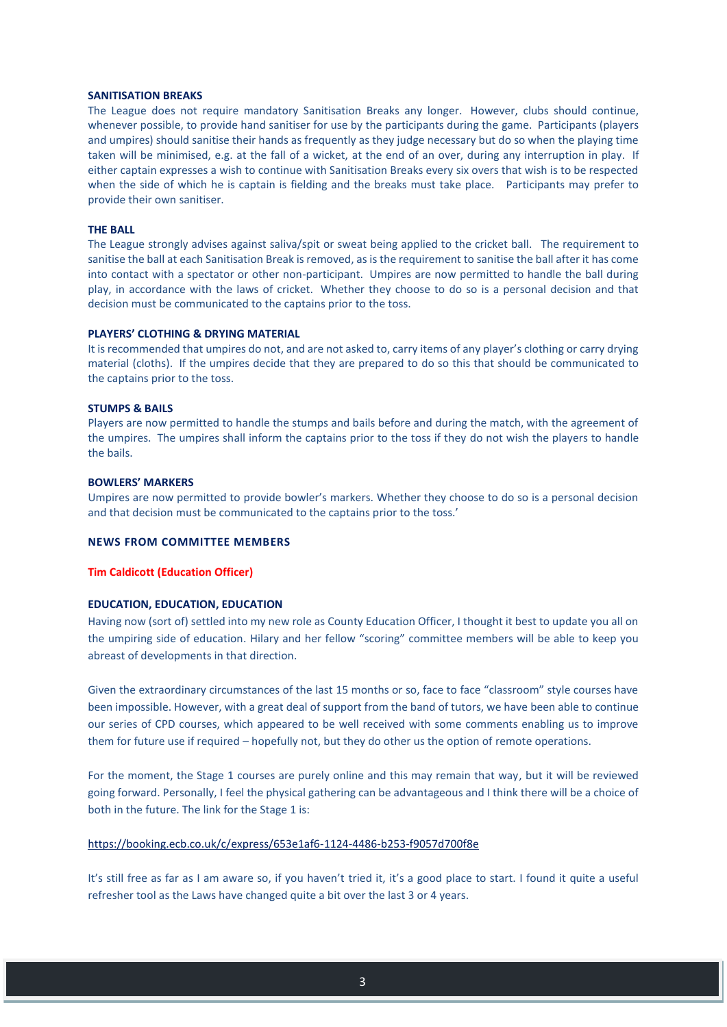#### **SANITISATION BREAKS**

The League does not require mandatory Sanitisation Breaks any longer. However, clubs should continue, whenever possible, to provide hand sanitiser for use by the participants during the game. Participants (players and umpires) should sanitise their hands as frequently as they judge necessary but do so when the playing time taken will be minimised, e.g. at the fall of a wicket, at the end of an over, during any interruption in play. If either captain expresses a wish to continue with Sanitisation Breaks every six overs that wish is to be respected when the side of which he is captain is fielding and the breaks must take place. Participants may prefer to provide their own sanitiser.

#### **THE BALL**

The League strongly advises against saliva/spit or sweat being applied to the cricket ball. The requirement to sanitise the ball at each Sanitisation Break is removed, as is the requirement to sanitise the ball after it has come into contact with a spectator or other non-participant. Umpires are now permitted to handle the ball during play, in accordance with the laws of cricket. Whether they choose to do so is a personal decision and that decision must be communicated to the captains prior to the toss.

#### **PLAYERS' CLOTHING & DRYING MATERIAL**

It is recommended that umpires do not, and are not asked to, carry items of any player's clothing or carry drying material (cloths). If the umpires decide that they are prepared to do so this that should be communicated to the captains prior to the toss.

#### **STUMPS & BAILS**

Players are now permitted to handle the stumps and bails before and during the match, with the agreement of the umpires. The umpires shall inform the captains prior to the toss if they do not wish the players to handle the bails.

#### **BOWLERS' MARKERS**

Umpires are now permitted to provide bowler's markers. Whether they choose to do so is a personal decision and that decision must be communicated to the captains prior to the toss.'

## **NEWS FROM COMMITTEE MEMBERS**

#### **Tim Caldicott (Education Officer)**

#### **EDUCATION, EDUCATION, EDUCATION**

Having now (sort of) settled into my new role as County Education Officer, I thought it best to update you all on the umpiring side of education. Hilary and her fellow "scoring" committee members will be able to keep you abreast of developments in that direction.

Given the extraordinary circumstances of the last 15 months or so, face to face "classroom" style courses have been impossible. However, with a great deal of support from the band of tutors, we have been able to continue our series of CPD courses, which appeared to be well received with some comments enabling us to improve them for future use if required – hopefully not, but they do other us the option of remote operations.

For the moment, the Stage 1 courses are purely online and this may remain that way, but it will be reviewed going forward. Personally, I feel the physical gathering can be advantageous and I think there will be a choice of both in the future. The link for the Stage 1 is:

#### <https://booking.ecb.co.uk/c/express/653e1af6-1124-4486-b253-f9057d700f8e>

It's still free as far as I am aware so, if you haven't tried it, it's a good place to start. I found it quite a useful refresher tool as the Laws have changed quite a bit over the last 3 or 4 years.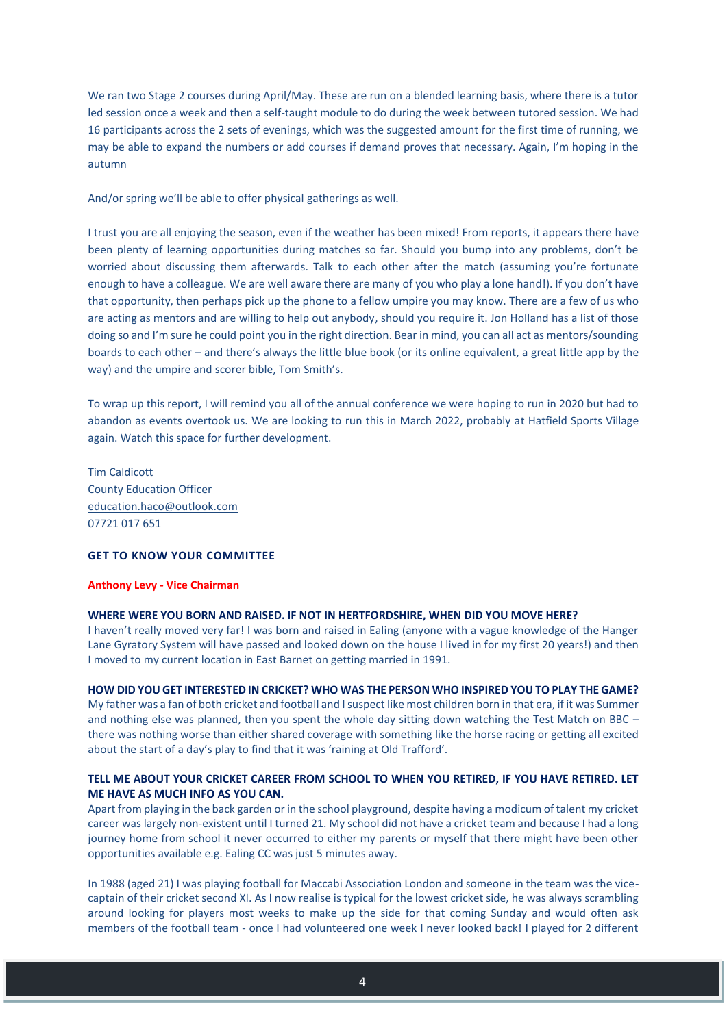We ran two Stage 2 courses during April/May. These are run on a blended learning basis, where there is a tutor led session once a week and then a self-taught module to do during the week between tutored session. We had 16 participants across the 2 sets of evenings, which was the suggested amount for the first time of running, we may be able to expand the numbers or add courses if demand proves that necessary. Again, I'm hoping in the autumn

And/or spring we'll be able to offer physical gatherings as well.

I trust you are all enjoying the season, even if the weather has been mixed! From reports, it appears there have been plenty of learning opportunities during matches so far. Should you bump into any problems, don't be worried about discussing them afterwards. Talk to each other after the match (assuming you're fortunate enough to have a colleague. We are well aware there are many of you who play a lone hand!). If you don't have that opportunity, then perhaps pick up the phone to a fellow umpire you may know. There are a few of us who are acting as mentors and are willing to help out anybody, should you require it. Jon Holland has a list of those doing so and I'm sure he could point you in the right direction. Bear in mind, you can all act as mentors/sounding boards to each other – and there's always the little blue book (or its online equivalent, a great little app by the way) and the umpire and scorer bible, Tom Smith's.

To wrap up this report, I will remind you all of the annual conference we were hoping to run in 2020 but had to abandon as events overtook us. We are looking to run this in March 2022, probably at Hatfield Sports Village again. Watch this space for further development.

Tim Caldicott County Education Officer [education.haco@outlook.com](mailto:education.haco@outlook.com) 07721 017 651

# **GET TO KNOW YOUR COMMITTEE**

#### **Anthony Levy - Vice Chairman**

#### **WHERE WERE YOU BORN AND RAISED. IF NOT IN HERTFORDSHIRE, WHEN DID YOU MOVE HERE?**

I haven't really moved very far! I was born and raised in Ealing (anyone with a vague knowledge of the Hanger Lane Gyratory System will have passed and looked down on the house I lived in for my first 20 years!) and then I moved to my current location in East Barnet on getting married in 1991.

## **HOW DID YOU GET INTERESTED IN CRICKET? WHO WAS THE PERSON WHO INSPIRED YOU TO PLAY THE GAME?**

My father was a fan of both cricket and football and I suspect like most children born in that era, if it was Summer and nothing else was planned, then you spent the whole day sitting down watching the Test Match on BBC – there was nothing worse than either shared coverage with something like the horse racing or getting all excited about the start of a day's play to find that it was 'raining at Old Trafford'.

# **TELL ME ABOUT YOUR CRICKET CAREER FROM SCHOOL TO WHEN YOU RETIRED, IF YOU HAVE RETIRED. LET ME HAVE AS MUCH INFO AS YOU CAN.**

Apart from playing in the back garden or in the school playground, despite having a modicum of talent my cricket career was largely non-existent until I turned 21. My school did not have a cricket team and because I had a long journey home from school it never occurred to either my parents or myself that there might have been other opportunities available e.g. Ealing CC was just 5 minutes away.

In 1988 (aged 21) I was playing football for Maccabi Association London and someone in the team was the vicecaptain of their cricket second XI. As I now realise is typical for the lowest cricket side, he was always scrambling around looking for players most weeks to make up the side for that coming Sunday and would often ask members of the football team - once I had volunteered one week I never looked back! I played for 2 different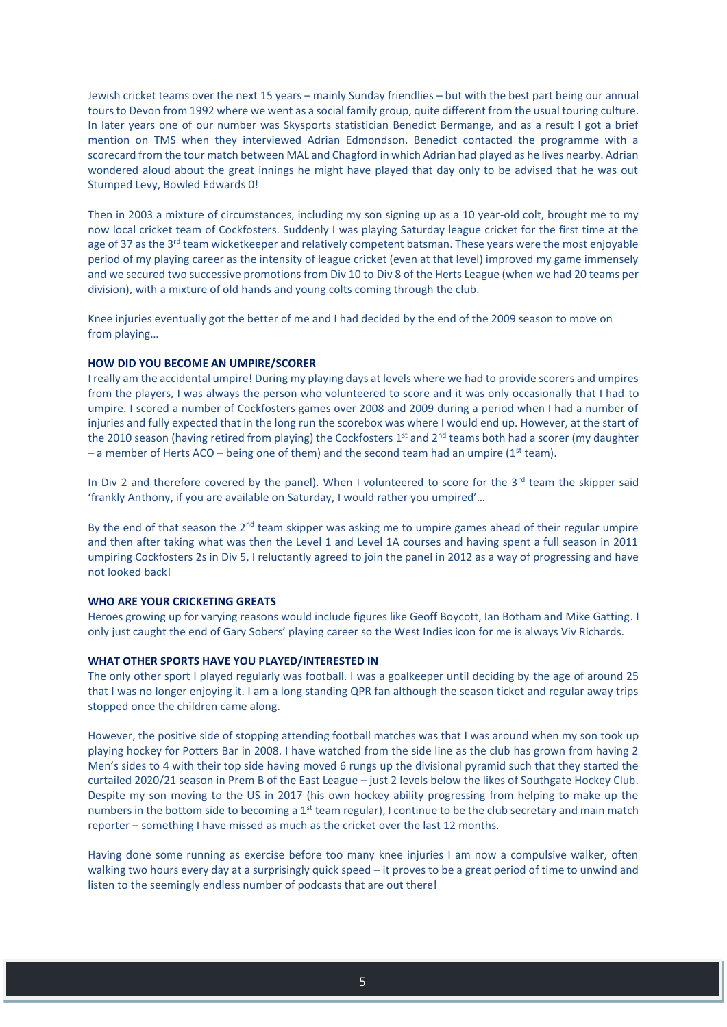Jewish cricket teams over the next 15 years – mainly Sunday friendlies – but with the best part being our annual tours to Devon from 1992 where we went as a social family group, quite different from the usual touring culture. In later years one of our number was Skysports statistician Benedict Bermange, and as a result I got a brief mention on TMS when they interviewed Adrian Edmondson. Benedict contacted the programme with a scorecard from the tour match between MAL and Chagford in which Adrian had played as he lives nearby. Adrian wondered aloud about the great innings he might have played that day only to be advised that he was out Stumped Levy, Bowled Edwards 0!

Then in 2003 a mixture of circumstances, including my son signing up as a 10 year-old colt, brought me to my now local cricket team of Cockfosters. Suddenly I was playing Saturday league cricket for the first time at the age of 37 as the 3<sup>rd</sup> team wicketkeeper and relatively competent batsman. These years were the most enjoyable period of my playing career as the intensity of league cricket (even at that level) improved my game immensely and we secured two successive promotions from Div 10 to Div 8 of the Herts League (when we had 20 teams per division), with a mixture of old hands and young colts coming through the club.

Knee injuries eventually got the better of me and I had decided by the end of the 2009 season to move on from playing…

#### **HOW DID YOU BECOME AN UMPIRE/SCORER**

I really am the accidental umpire! During my playing days at levels where we had to provide scorers and umpires from the players, I was always the person who volunteered to score and it was only occasionally that I had to umpire. I scored a number of Cockfosters games over 2008 and 2009 during a period when I had a number of injuries and fully expected that in the long run the scorebox was where I would end up. However, at the start of the 2010 season (having retired from playing) the Cockfosters 1<sup>st</sup> and 2<sup>nd</sup> teams both had a scorer (my daughter – a member of Herts ACO – being one of them) and the second team had an umpire (1st team).

In Div 2 and therefore covered by the panel). When I volunteered to score for the  $3<sup>rd</sup>$  team the skipper said 'frankly Anthony, if you are available on Saturday, I would rather you umpired'…

By the end of that season the  $2<sup>nd</sup>$  team skipper was asking me to umpire games ahead of their regular umpire and then after taking what was then the Level 1 and Level 1A courses and having spent a full season in 2011 umpiring Cockfosters 2s in Div 5, I reluctantly agreed to join the panel in 2012 as a way of progressing and have not looked back!

#### **WHO ARE YOUR CRICKETING GREATS**

Heroes growing up for varying reasons would include figures like Geoff Boycott, Ian Botham and Mike Gatting. I only just caught the end of Gary Sobers' playing career so the West Indies icon for me is always Viv Richards.

# **WHAT OTHER SPORTS HAVE YOU PLAYED/INTERESTED IN**

The only other sport I played regularly was football. I was a goalkeeper until deciding by the age of around 25 that I was no longer enjoying it. I am a long standing QPR fan although the season ticket and regular away trips stopped once the children came along.

However, the positive side of stopping attending football matches was that I was around when my son took up playing hockey for Potters Bar in 2008. I have watched from the side line as the club has grown from having 2 Men's sides to 4 with their top side having moved 6 rungs up the divisional pyramid such that they started the curtailed 2020/21 season in Prem B of the East League – just 2 levels below the likes of Southgate Hockey Club. Despite my son moving to the US in 2017 (his own hockey ability progressing from helping to make up the numbers in the bottom side to becoming a  $1<sup>st</sup>$  team regular), I continue to be the club secretary and main match reporter – something I have missed as much as the cricket over the last 12 months.

Having done some running as exercise before too many knee injuries I am now a compulsive walker, often walking two hours every day at a surprisingly quick speed – it proves to be a great period of time to unwind and listen to the seemingly endless number of podcasts that are out there!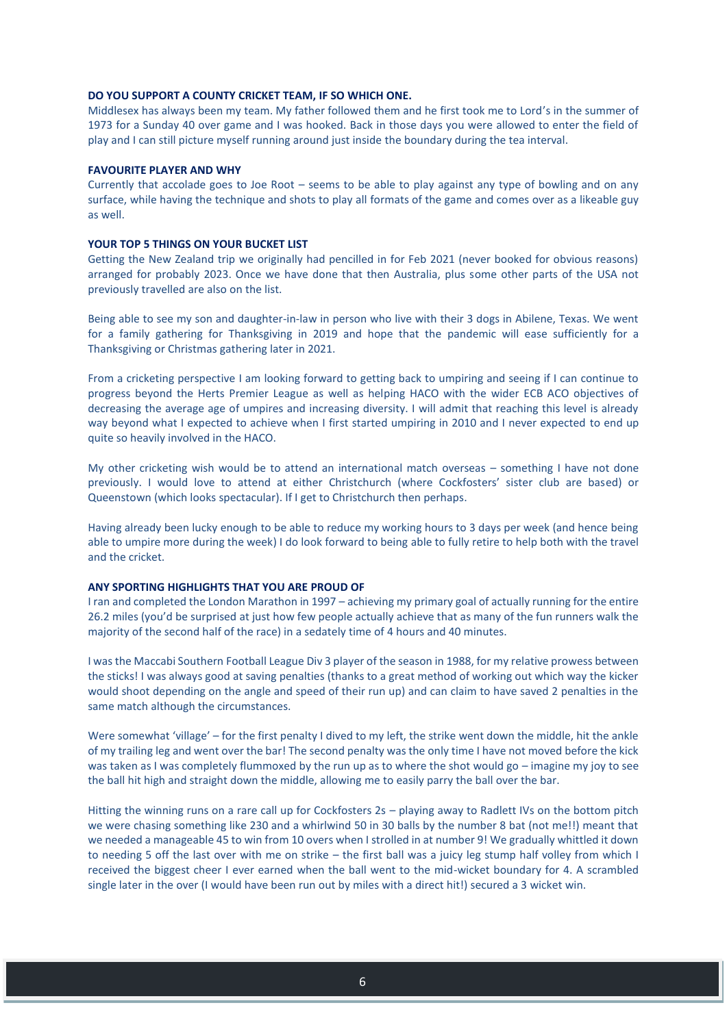#### **DO YOU SUPPORT A COUNTY CRICKET TEAM, IF SO WHICH ONE.**

Middlesex has always been my team. My father followed them and he first took me to Lord's in the summer of 1973 for a Sunday 40 over game and I was hooked. Back in those days you were allowed to enter the field of play and I can still picture myself running around just inside the boundary during the tea interval.

#### **FAVOURITE PLAYER AND WHY**

Currently that accolade goes to Joe Root – seems to be able to play against any type of bowling and on any surface, while having the technique and shots to play all formats of the game and comes over as a likeable guy as well.

#### **YOUR TOP 5 THINGS ON YOUR BUCKET LIST**

Getting the New Zealand trip we originally had pencilled in for Feb 2021 (never booked for obvious reasons) arranged for probably 2023. Once we have done that then Australia, plus some other parts of the USA not previously travelled are also on the list.

Being able to see my son and daughter-in-law in person who live with their 3 dogs in Abilene, Texas. We went for a family gathering for Thanksgiving in 2019 and hope that the pandemic will ease sufficiently for a Thanksgiving or Christmas gathering later in 2021.

From a cricketing perspective I am looking forward to getting back to umpiring and seeing if I can continue to progress beyond the Herts Premier League as well as helping HACO with the wider ECB ACO objectives of decreasing the average age of umpires and increasing diversity. I will admit that reaching this level is already way beyond what I expected to achieve when I first started umpiring in 2010 and I never expected to end up quite so heavily involved in the HACO.

My other cricketing wish would be to attend an international match overseas – something I have not done previously. I would love to attend at either Christchurch (where Cockfosters' sister club are based) or Queenstown (which looks spectacular). If I get to Christchurch then perhaps.

Having already been lucky enough to be able to reduce my working hours to 3 days per week (and hence being able to umpire more during the week) I do look forward to being able to fully retire to help both with the travel and the cricket.

#### **ANY SPORTING HIGHLIGHTS THAT YOU ARE PROUD OF**

I ran and completed the London Marathon in 1997 – achieving my primary goal of actually running for the entire 26.2 miles (you'd be surprised at just how few people actually achieve that as many of the fun runners walk the majority of the second half of the race) in a sedately time of 4 hours and 40 minutes.

I was the Maccabi Southern Football League Div 3 player of the season in 1988, for my relative prowess between the sticks! I was always good at saving penalties (thanks to a great method of working out which way the kicker would shoot depending on the angle and speed of their run up) and can claim to have saved 2 penalties in the same match although the circumstances.

Were somewhat 'village' – for the first penalty I dived to my left, the strike went down the middle, hit the ankle of my trailing leg and went over the bar! The second penalty was the only time I have not moved before the kick was taken as I was completely flummoxed by the run up as to where the shot would go – imagine my joy to see the ball hit high and straight down the middle, allowing me to easily parry the ball over the bar.

Hitting the winning runs on a rare call up for Cockfosters 2s – playing away to Radlett IVs on the bottom pitch we were chasing something like 230 and a whirlwind 50 in 30 balls by the number 8 bat (not me!!) meant that we needed a manageable 45 to win from 10 overs when I strolled in at number 9! We gradually whittled it down to needing 5 off the last over with me on strike – the first ball was a juicy leg stump half volley from which I received the biggest cheer I ever earned when the ball went to the mid-wicket boundary for 4. A scrambled single later in the over (I would have been run out by miles with a direct hit!) secured a 3 wicket win.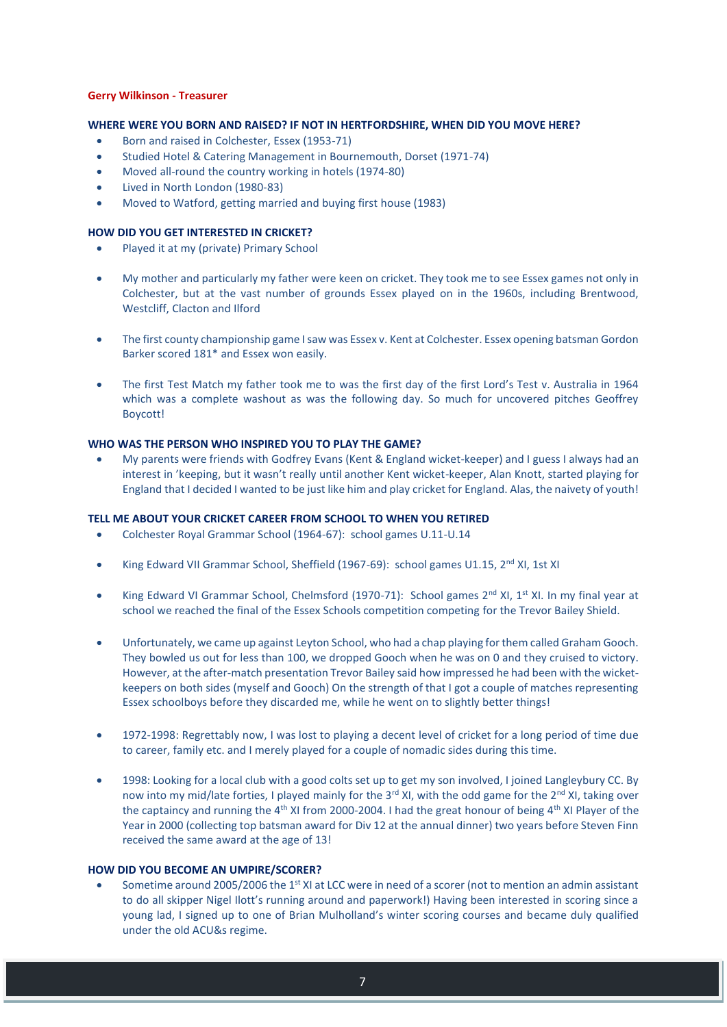## **Gerry Wilkinson - Treasurer**

# **WHERE WERE YOU BORN AND RAISED? IF NOT IN HERTFORDSHIRE, WHEN DID YOU MOVE HERE?**

- Born and raised in Colchester, Essex (1953-71)
- Studied Hotel & Catering Management in Bournemouth, Dorset (1971-74)
- Moved all-round the country working in hotels (1974-80)
- Lived in North London (1980-83)
- Moved to Watford, getting married and buying first house (1983)

## **HOW DID YOU GET INTERESTED IN CRICKET?**

- Played it at my (private) Primary School
- My mother and particularly my father were keen on cricket. They took me to see Essex games not only in Colchester, but at the vast number of grounds Essex played on in the 1960s, including Brentwood, Westcliff, Clacton and Ilford
- The first county championship game I saw was Essex v. Kent at Colchester. Essex opening batsman Gordon Barker scored 181\* and Essex won easily.
- The first Test Match my father took me to was the first day of the first Lord's Test v. Australia in 1964 which was a complete washout as was the following day. So much for uncovered pitches Geoffrey Boycott!

## **WHO WAS THE PERSON WHO INSPIRED YOU TO PLAY THE GAME?**

 My parents were friends with Godfrey Evans (Kent & England wicket-keeper) and I guess I always had an interest in 'keeping, but it wasn't really until another Kent wicket-keeper, Alan Knott, started playing for England that I decided I wanted to be just like him and play cricket for England. Alas, the naivety of youth!

## **TELL ME ABOUT YOUR CRICKET CAREER FROM SCHOOL TO WHEN YOU RETIRED**

- Colchester Royal Grammar School (1964-67): school games U.11-U.14
- King Edward VII Grammar School, Sheffield (1967-69): school games U1.15, 2<sup>nd</sup> XI, 1st XI
- King Edward VI Grammar School, Chelmsford (1970-71): School games  $2<sup>nd</sup>$  XI, 1<sup>st</sup> XI, In my final year at school we reached the final of the Essex Schools competition competing for the Trevor Bailey Shield.
- Unfortunately, we came up against Leyton School, who had a chap playing for them called Graham Gooch. They bowled us out for less than 100, we dropped Gooch when he was on 0 and they cruised to victory. However, at the after-match presentation Trevor Bailey said how impressed he had been with the wicketkeepers on both sides (myself and Gooch) On the strength of that I got a couple of matches representing Essex schoolboys before they discarded me, while he went on to slightly better things!
- 1972-1998: Regrettably now, I was lost to playing a decent level of cricket for a long period of time due to career, family etc. and I merely played for a couple of nomadic sides during this time.
- 1998: Looking for a local club with a good colts set up to get my son involved, I joined Langleybury CC. By now into my mid/late forties, I played mainly for the 3<sup>rd</sup> XI, with the odd game for the 2<sup>nd</sup> XI, taking over the captaincy and running the 4<sup>th</sup> XI from 2000-2004. I had the great honour of being 4<sup>th</sup> XI Player of the Year in 2000 (collecting top batsman award for Div 12 at the annual dinner) two years before Steven Finn received the same award at the age of 13!

#### **HOW DID YOU BECOME AN UMPIRE/SCORER?**

Sometime around 2005/2006 the 1<sup>st</sup> XI at LCC were in need of a scorer (not to mention an admin assistant to do all skipper Nigel Ilott's running around and paperwork!) Having been interested in scoring since a young lad, I signed up to one of Brian Mulholland's winter scoring courses and became duly qualified under the old ACU&s regime.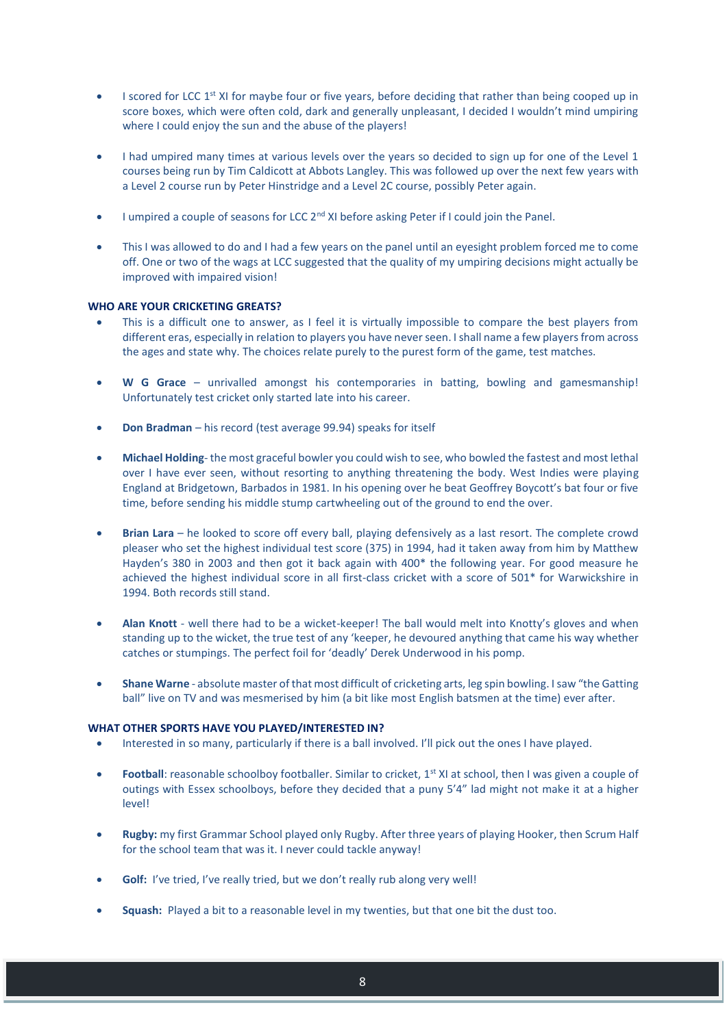- I scored for LCC 1<sup>st</sup> XI for maybe four or five years, before deciding that rather than being cooped up in score boxes, which were often cold, dark and generally unpleasant, I decided I wouldn't mind umpiring where I could enjoy the sun and the abuse of the players!
- I had umpired many times at various levels over the years so decided to sign up for one of the Level 1 courses being run by Tim Caldicott at Abbots Langley. This was followed up over the next few years with a Level 2 course run by Peter Hinstridge and a Level 2C course, possibly Peter again.
- I umpired a couple of seasons for LCC 2<sup>nd</sup> XI before asking Peter if I could join the Panel.
- This I was allowed to do and I had a few years on the panel until an eyesight problem forced me to come off. One or two of the wags at LCC suggested that the quality of my umpiring decisions might actually be improved with impaired vision!

# **WHO ARE YOUR CRICKETING GREATS?**

- This is a difficult one to answer, as I feel it is virtually impossible to compare the best players from different eras, especially in relation to players you have never seen. I shall name a few players from across the ages and state why. The choices relate purely to the purest form of the game, test matches.
- **W G Grace** unrivalled amongst his contemporaries in batting, bowling and gamesmanship! Unfortunately test cricket only started late into his career.
- **Don Bradman** his record (test average 99.94) speaks for itself
- **Michael Holding** the most graceful bowler you could wish to see, who bowled the fastest and most lethal over I have ever seen, without resorting to anything threatening the body. West Indies were playing England at Bridgetown, Barbados in 1981. In his opening over he beat Geoffrey Boycott's bat four or five time, before sending his middle stump cartwheeling out of the ground to end the over.
- **Brian Lara** he looked to score off every ball, playing defensively as a last resort. The complete crowd pleaser who set the highest individual test score (375) in 1994, had it taken away from him by Matthew Hayden's 380 in 2003 and then got it back again with 400\* the following year. For good measure he achieved the highest individual score in all first-class cricket with a score of 501\* for Warwickshire in 1994. Both records still stand.
- **Alan Knott**  well there had to be a wicket-keeper! The ball would melt into Knotty's gloves and when standing up to the wicket, the true test of any 'keeper, he devoured anything that came his way whether catches or stumpings. The perfect foil for 'deadly' Derek Underwood in his pomp.
- **Shane Warne**  absolute master of that most difficult of cricketing arts, leg spin bowling. I saw "the Gatting ball" live on TV and was mesmerised by him (a bit like most English batsmen at the time) ever after.

# **WHAT OTHER SPORTS HAVE YOU PLAYED/INTERESTED IN?**

- Interested in so many, particularly if there is a ball involved. I'll pick out the ones I have played.
- **Football**: reasonable schoolboy footballer. Similar to cricket, 1<sup>st</sup> XI at school, then I was given a couple of outings with Essex schoolboys, before they decided that a puny 5'4" lad might not make it at a higher level!
- **Rugby:** my first Grammar School played only Rugby. After three years of playing Hooker, then Scrum Half for the school team that was it. I never could tackle anyway!
- **Golf:** I've tried, I've really tried, but we don't really rub along very well!
- **Squash:** Played a bit to a reasonable level in my twenties, but that one bit the dust too.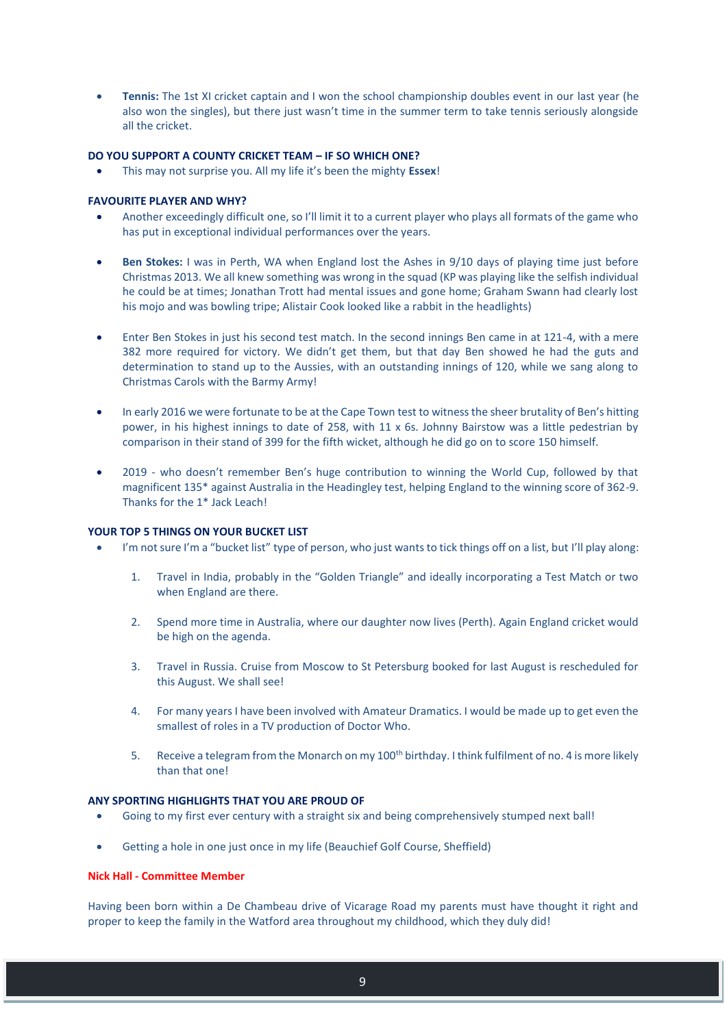**Tennis:** The 1st XI cricket captain and I won the school championship doubles event in our last year (he also won the singles), but there just wasn't time in the summer term to take tennis seriously alongside all the cricket.

# **DO YOU SUPPORT A COUNTY CRICKET TEAM – IF SO WHICH ONE?**

This may not surprise you. All my life it's been the mighty **Essex**!

## **FAVOURITE PLAYER AND WHY?**

- Another exceedingly difficult one, so I'll limit it to a current player who plays all formats of the game who has put in exceptional individual performances over the years.
- **Ben Stokes:** I was in Perth, WA when England lost the Ashes in 9/10 days of playing time just before Christmas 2013. We all knew something was wrong in the squad (KP was playing like the selfish individual he could be at times; Jonathan Trott had mental issues and gone home; Graham Swann had clearly lost his mojo and was bowling tripe; Alistair Cook looked like a rabbit in the headlights)
- Enter Ben Stokes in just his second test match. In the second innings Ben came in at 121-4, with a mere 382 more required for victory. We didn't get them, but that day Ben showed he had the guts and determination to stand up to the Aussies, with an outstanding innings of 120, while we sang along to Christmas Carols with the Barmy Army!
- In early 2016 we were fortunate to be at the Cape Town test to witness the sheer brutality of Ben's hitting power, in his highest innings to date of 258, with 11 x 6s. Johnny Bairstow was a little pedestrian by comparison in their stand of 399 for the fifth wicket, although he did go on to score 150 himself.
- 2019 who doesn't remember Ben's huge contribution to winning the World Cup, followed by that magnificent 135\* against Australia in the Headingley test, helping England to the winning score of 362-9. Thanks for the 1\* Jack Leach!

## **YOUR TOP 5 THINGS ON YOUR BUCKET LIST**

- I'm not sure I'm a "bucket list" type of person, who just wants to tick things off on a list, but I'll play along:
	- 1. Travel in India, probably in the "Golden Triangle" and ideally incorporating a Test Match or two when England are there.
	- 2. Spend more time in Australia, where our daughter now lives (Perth). Again England cricket would be high on the agenda.
	- 3. Travel in Russia. Cruise from Moscow to St Petersburg booked for last August is rescheduled for this August. We shall see!
	- 4. For many years I have been involved with Amateur Dramatics. I would be made up to get even the smallest of roles in a TV production of Doctor Who.
	- 5. Receive a telegram from the Monarch on my 100<sup>th</sup> birthday. I think fulfilment of no. 4 is more likely than that one!

#### **ANY SPORTING HIGHLIGHTS THAT YOU ARE PROUD OF**

- Going to my first ever century with a straight six and being comprehensively stumped next ball!
- Getting a hole in one just once in my life (Beauchief Golf Course, Sheffield)

# **Nick Hall - Committee Member**

Having been born within a De Chambeau drive of Vicarage Road my parents must have thought it right and proper to keep the family in the Watford area throughout my childhood, which they duly did!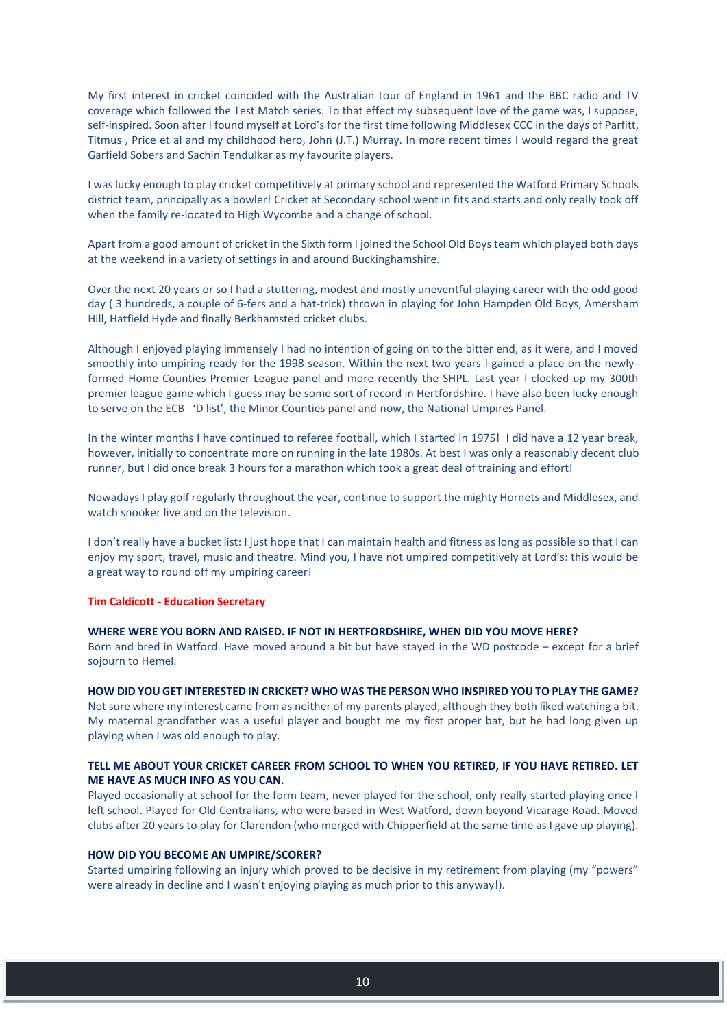My first interest in cricket coincided with the Australian tour of England in 1961 and the BBC radio and TV coverage which followed the Test Match series. To that effect my subsequent love of the game was, I suppose, self-inspired. Soon after I found myself at Lord's for the first time following Middlesex CCC in the days of Parfitt, Titmus , Price et al and my childhood hero, John (J.T.) Murray. In more recent times I would regard the great Garfield Sobers and Sachin Tendulkar as my favourite players.

I was lucky enough to play cricket competitively at primary school and represented the Watford Primary Schools district team, principally as a bowler! Cricket at Secondary school went in fits and starts and only really took off when the family re-located to High Wycombe and a change of school.

Apart from a good amount of cricket in the Sixth form I joined the School Old Boys team which played both days at the weekend in a variety of settings in and around Buckinghamshire.

Over the next 20 years or so I had a stuttering, modest and mostly uneventful playing career with the odd good day ( 3 hundreds, a couple of 6-fers and a hat-trick) thrown in playing for John Hampden Old Boys, Amersham Hill, Hatfield Hyde and finally Berkhamsted cricket clubs.

Although I enjoyed playing immensely I had no intention of going on to the bitter end, as it were, and I moved smoothly into umpiring ready for the 1998 season. Within the next two years I gained a place on the newlyformed Home Counties Premier League panel and more recently the SHPL. Last year I clocked up my 300th premier league game which I guess may be some sort of record in Hertfordshire. I have also been lucky enough to serve on the ECB 'D list', the Minor Counties panel and now, the National Umpires Panel.

In the winter months I have continued to referee football, which I started in 1975! I did have a 12 year break, however, initially to concentrate more on running in the late 1980s. At best I was only a reasonably decent club runner, but I did once break 3 hours for a marathon which took a great deal of training and effort!

Nowadays I play golf regularly throughout the year, continue to support the mighty Hornets and Middlesex, and watch snooker live and on the television.

I don't really have a bucket list: I just hope that I can maintain health and fitness as long as possible so that I can enjoy my sport, travel, music and theatre. Mind you, I have not umpired competitively at Lord's: this would be a great way to round off my umpiring career!

#### **Tim Caldicott - Education Secretary**

#### **WHERE WERE YOU BORN AND RAISED. IF NOT IN HERTFORDSHIRE, WHEN DID YOU MOVE HERE?**

Born and bred in Watford. Have moved around a bit but have stayed in the WD postcode – except for a brief sojourn to Hemel.

#### **HOW DID YOU GET INTERESTED IN CRICKET? WHO WAS THE PERSON WHO INSPIRED YOU TO PLAY THE GAME?**

Not sure where my interest came from as neither of my parents played, although they both liked watching a bit. My maternal grandfather was a useful player and bought me my first proper bat, but he had long given up playing when I was old enough to play.

# **TELL ME ABOUT YOUR CRICKET CAREER FROM SCHOOL TO WHEN YOU RETIRED, IF YOU HAVE RETIRED. LET ME HAVE AS MUCH INFO AS YOU CAN.**

Played occasionally at school for the form team, never played for the school, only really started playing once I left school. Played for Old Centralians, who were based in West Watford, down beyond Vicarage Road. Moved clubs after 20 years to play for Clarendon (who merged with Chipperfield at the same time as I gave up playing).

#### **HOW DID YOU BECOME AN UMPIRE/SCORER?**

Started umpiring following an injury which proved to be decisive in my retirement from playing (my "powers" were already in decline and I wasn't enjoying playing as much prior to this anyway!).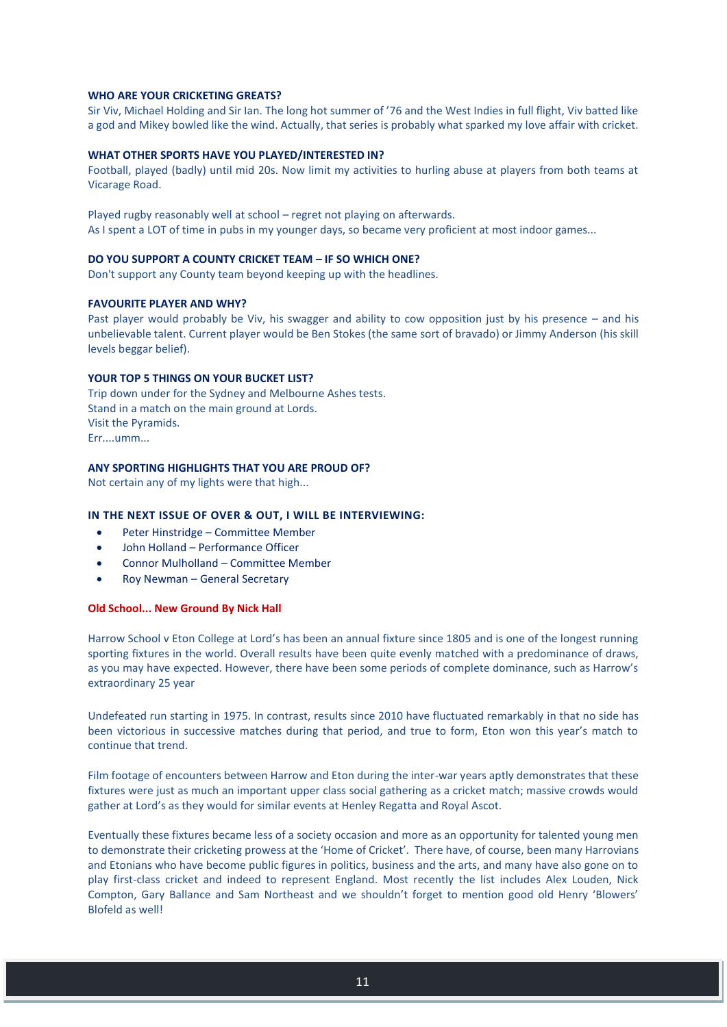## **WHO ARE YOUR CRICKETING GREATS?**

Sir Viv, Michael Holding and Sir Ian. The long hot summer of '76 and the West Indies in full flight, Viv batted like a god and Mikey bowled like the wind. Actually, that series is probably what sparked my love affair with cricket.

## **WHAT OTHER SPORTS HAVE YOU PLAYED/INTERESTED IN?**

Football, played (badly) until mid 20s. Now limit my activities to hurling abuse at players from both teams at Vicarage Road.

Played rugby reasonably well at school – regret not playing on afterwards. As I spent a LOT of time in pubs in my younger days, so became very proficient at most indoor games...

## **DO YOU SUPPORT A COUNTY CRICKET TEAM – IF SO WHICH ONE?**

Don't support any County team beyond keeping up with the headlines.

#### **FAVOURITE PLAYER AND WHY?**

Past player would probably be Viv, his swagger and ability to cow opposition just by his presence – and his unbelievable talent. Current player would be Ben Stokes (the same sort of bravado) or Jimmy Anderson (his skill levels beggar belief).

#### **YOUR TOP 5 THINGS ON YOUR BUCKET LIST?**

Trip down under for the Sydney and Melbourne Ashes tests. Stand in a match on the main ground at Lords. Visit the Pyramids. Err....umm...

#### **ANY SPORTING HIGHLIGHTS THAT YOU ARE PROUD OF?**

Not certain any of my lights were that high...

# **IN THE NEXT ISSUE OF OVER & OUT, I WILL BE INTERVIEWING:**

- Peter Hinstridge Committee Member
- John Holland Performance Officer
- Connor Mulholland Committee Member
- Roy Newman General Secretary

#### **Old School... New Ground By Nick Hall**

Harrow School v Eton College at Lord's has been an annual fixture since 1805 and is one of the longest running sporting fixtures in the world. Overall results have been quite evenly matched with a predominance of draws, as you may have expected. However, there have been some periods of complete dominance, such as Harrow's extraordinary 25 year

Undefeated run starting in 1975. In contrast, results since 2010 have fluctuated remarkably in that no side has been victorious in successive matches during that period, and true to form, Eton won this year's match to continue that trend.

Film footage of encounters between Harrow and Eton during the inter-war years aptly demonstrates that these fixtures were just as much an important upper class social gathering as a cricket match; massive crowds would gather at Lord's as they would for similar events at Henley Regatta and Royal Ascot.

Eventually these fixtures became less of a society occasion and more as an opportunity for talented young men to demonstrate their cricketing prowess at the 'Home of Cricket'. There have, of course, been many Harrovians and Etonians who have become public figures in politics, business and the arts, and many have also gone on to play first-class cricket and indeed to represent England. Most recently the list includes Alex Louden, Nick Compton, Gary Ballance and Sam Northeast and we shouldn't forget to mention good old Henry 'Blowers' Blofeld as well!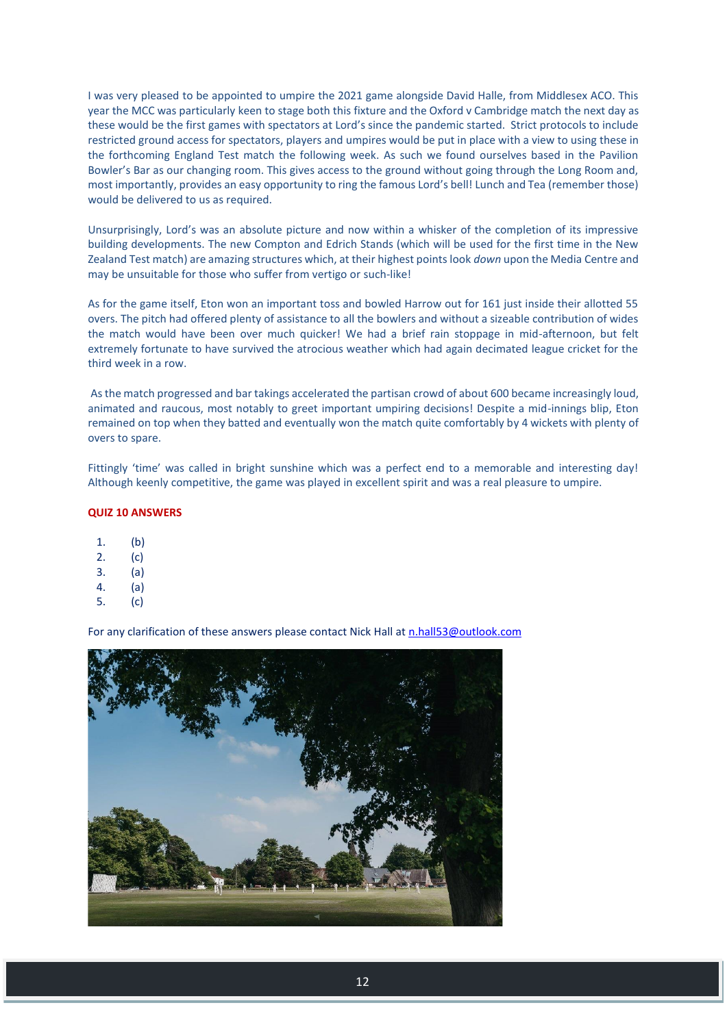I was very pleased to be appointed to umpire the 2021 game alongside David Halle, from Middlesex ACO. This year the MCC was particularly keen to stage both this fixture and the Oxford v Cambridge match the next day as these would be the first games with spectators at Lord's since the pandemic started. Strict protocols to include restricted ground access for spectators, players and umpires would be put in place with a view to using these in the forthcoming England Test match the following week. As such we found ourselves based in the Pavilion Bowler's Bar as our changing room. This gives access to the ground without going through the Long Room and, most importantly, provides an easy opportunity to ring the famous Lord's bell! Lunch and Tea (remember those) would be delivered to us as required.

Unsurprisingly, Lord's was an absolute picture and now within a whisker of the completion of its impressive building developments. The new Compton and Edrich Stands (which will be used for the first time in the New Zealand Test match) are amazing structures which, at their highest points look *down* upon the Media Centre and may be unsuitable for those who suffer from vertigo or such-like!

As for the game itself, Eton won an important toss and bowled Harrow out for 161 just inside their allotted 55 overs. The pitch had offered plenty of assistance to all the bowlers and without a sizeable contribution of wides the match would have been over much quicker! We had a brief rain stoppage in mid-afternoon, but felt extremely fortunate to have survived the atrocious weather which had again decimated league cricket for the third week in a row.

As the match progressed and bar takings accelerated the partisan crowd of about 600 became increasingly loud, animated and raucous, most notably to greet important umpiring decisions! Despite a mid-innings blip, Eton remained on top when they batted and eventually won the match quite comfortably by 4 wickets with plenty of overs to spare.

Fittingly 'time' was called in bright sunshine which was a perfect end to a memorable and interesting day! Although keenly competitive, the game was played in excellent spirit and was a real pleasure to umpire.

## **QUIZ 10 ANSWERS**

- 1. (b)
- 2. (c)
- 3. (a)
- 4. (a)
- 5. (c)

For any clarification of these answers please contact Nick Hall a[t n.hall53@outlook.com](mailto:n.hall53@outlook.com)